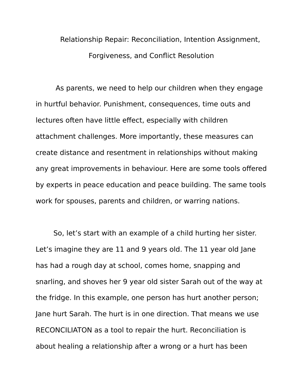Relationship Repair: Reconciliation, Intention Assignment, Forgiveness, and Conflict Resolution

 As parents, we need to help our children when they engage in hurtful behavior. Punishment, consequences, time outs and lectures often have little effect, especially with children attachment challenges. More importantly, these measures can create distance and resentment in relationships without making any great improvements in behaviour. Here are some tools offered by experts in peace education and peace building. The same tools work for spouses, parents and children, or warring nations.

So, let's start with an example of a child hurting her sister. Let's imagine they are 11 and 9 years old. The 11 year old Jane has had a rough day at school, comes home, snapping and snarling, and shoves her 9 year old sister Sarah out of the way at the fridge. In this example, one person has hurt another person; Jane hurt Sarah. The hurt is in one direction. That means we use RECONCILIATON as a tool to repair the hurt. Reconciliation is about healing a relationship after a wrong or a hurt has been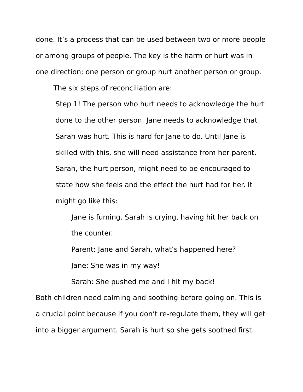done. It's a process that can be used between two or more people or among groups of people. The key is the harm or hurt was in one direction; one person or group hurt another person or group.

The six steps of reconciliation are:

Step 1! The person who hurt needs to acknowledge the hurt done to the other person. Jane needs to acknowledge that Sarah was hurt. This is hard for Jane to do. Until Jane is skilled with this, she will need assistance from her parent. Sarah, the hurt person, might need to be encouraged to state how she feels and the effect the hurt had for her. It might go like this:

Jane is fuming. Sarah is crying, having hit her back on the counter.

Parent: Jane and Sarah, what's happened here?

Jane: She was in my way!

Sarah: She pushed me and I hit my back!

Both children need calming and soothing before going on. This is a crucial point because if you don't re-regulate them, they will get into a bigger argument. Sarah is hurt so she gets soothed first.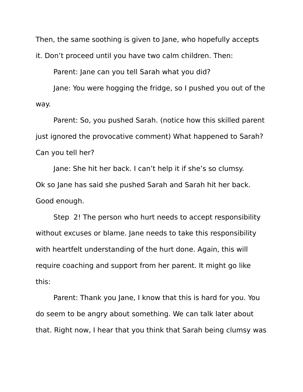Then, the same soothing is given to Jane, who hopefully accepts

it. Don't proceed until you have two calm children. Then:

Parent: Jane can you tell Sarah what you did?

Jane: You were hogging the fridge, so I pushed you out of the way.

Parent: So, you pushed Sarah. (notice how this skilled parent just ignored the provocative comment) What happened to Sarah? Can you tell her?

Jane: She hit her back. I can't help it if she's so clumsy. Ok so Jane has said she pushed Sarah and Sarah hit her back. Good enough.

Step 2! The person who hurt needs to accept responsibility without excuses or blame. Jane needs to take this responsibility with heartfelt understanding of the hurt done. Again, this will require coaching and support from her parent. It might go like this:

Parent: Thank you Jane, I know that this is hard for you. You do seem to be angry about something. We can talk later about that. Right now, I hear that you think that Sarah being clumsy was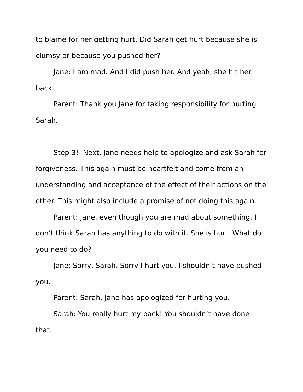to blame for her getting hurt. Did Sarah get hurt because she is clumsy or because you pushed her?

Jane: I am mad. And I did push her. And yeah, she hit her back.

Parent: Thank you Jane for taking responsibility for hurting Sarah.

Step 3! Next, Jane needs help to apologize and ask Sarah for forgiveness. This again must be heartfelt and come from an understanding and acceptance of the effect of their actions on the other. This might also include a promise of not doing this again.

Parent: Jane, even though you are mad about something, I don't think Sarah has anything to do with it. She is hurt. What do you need to do?

Jane: Sorry, Sarah. Sorry I hurt you. I shouldn't have pushed you.

Parent: Sarah, Jane has apologized for hurting you.

Sarah: You really hurt my back! You shouldn't have done that.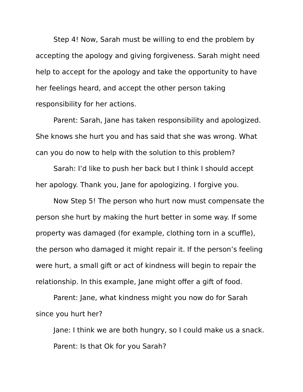Step 4! Now, Sarah must be willing to end the problem by accepting the apology and giving forgiveness. Sarah might need help to accept for the apology and take the opportunity to have her feelings heard, and accept the other person taking responsibility for her actions.

Parent: Sarah, Jane has taken responsibility and apologized. She knows she hurt you and has said that she was wrong. What can you do now to help with the solution to this problem?

Sarah: I'd like to push her back but I think I should accept her apology. Thank you, Jane for apologizing. I forgive you.

Now Step 5! The person who hurt now must compensate the person she hurt by making the hurt better in some way. If some property was damaged (for example, clothing torn in a scuffle), the person who damaged it might repair it. If the person's feeling were hurt, a small gift or act of kindness will begin to repair the relationship. In this example, Jane might offer a gift of food.

Parent: Jane, what kindness might you now do for Sarah since you hurt her?

Jane: I think we are both hungry, so I could make us a snack. Parent: Is that Ok for you Sarah?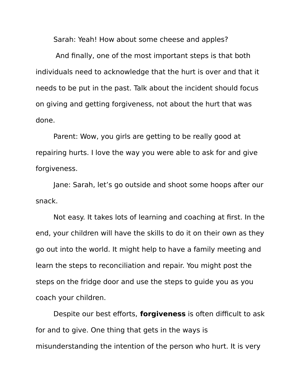Sarah: Yeah! How about some cheese and apples?

 And finally, one of the most important steps is that both individuals need to acknowledge that the hurt is over and that it needs to be put in the past. Talk about the incident should focus on giving and getting forgiveness, not about the hurt that was done.

Parent: Wow, you girls are getting to be really good at repairing hurts. I love the way you were able to ask for and give forgiveness.

Jane: Sarah, let's go outside and shoot some hoops after our snack.

Not easy. It takes lots of learning and coaching at first. In the end, your children will have the skills to do it on their own as they go out into the world. It might help to have a family meeting and learn the steps to reconciliation and repair. You might post the steps on the fridge door and use the steps to guide you as you coach your children.

Despite our best efforts, **forgiveness** is often difficult to ask for and to give. One thing that gets in the ways is misunderstanding the intention of the person who hurt. It is very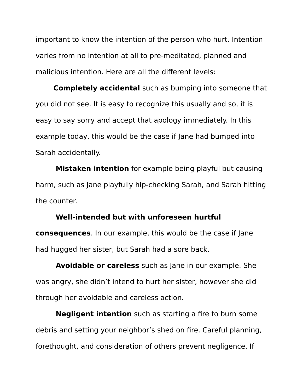important to know the intention of the person who hurt. Intention varies from no intention at all to pre-meditated, planned and malicious intention. Here are all the different levels:

**Completely accidental** such as bumping into someone that you did not see. It is easy to recognize this usually and so, it is easy to say sorry and accept that apology immediately. In this example today, this would be the case if Jane had bumped into Sarah accidentally.

**Mistaken intention** for example being playful but causing harm, such as Jane playfully hip-checking Sarah, and Sarah hitting the counter.

## **Well-intended but with unforeseen hurtful**

**consequences**. In our example, this would be the case if Jane had hugged her sister, but Sarah had a sore back.

**Avoidable or careless** such as Jane in our example. She was angry, she didn't intend to hurt her sister, however she did through her avoidable and careless action.

**Negligent intention** such as starting a fire to burn some debris and setting your neighbor's shed on fire. Careful planning, forethought, and consideration of others prevent negligence. If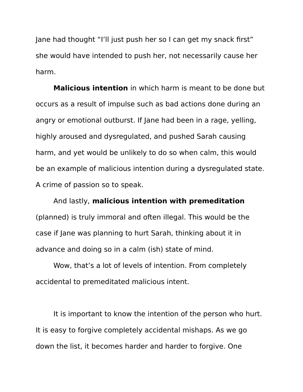Jane had thought "I'll just push her so I can get my snack first" she would have intended to push her, not necessarily cause her harm.

**Malicious intention** in which harm is meant to be done but occurs as a result of impulse such as bad actions done during an angry or emotional outburst. If Jane had been in a rage, yelling, highly aroused and dysregulated, and pushed Sarah causing harm, and yet would be unlikely to do so when calm, this would be an example of malicious intention during a dysregulated state. A crime of passion so to speak.

And lastly, **malicious intention with premeditation** (planned) is truly immoral and often illegal. This would be the case if Jane was planning to hurt Sarah, thinking about it in advance and doing so in a calm (ish) state of mind.

Wow, that's a lot of levels of intention. From completely accidental to premeditated malicious intent.

It is important to know the intention of the person who hurt. It is easy to forgive completely accidental mishaps. As we go down the list, it becomes harder and harder to forgive. One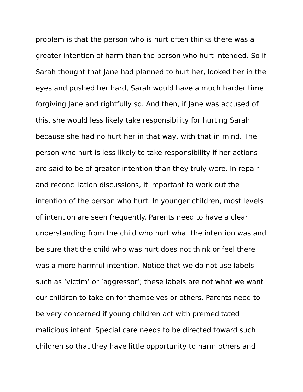problem is that the person who is hurt often thinks there was a greater intention of harm than the person who hurt intended. So if Sarah thought that Jane had planned to hurt her, looked her in the eyes and pushed her hard, Sarah would have a much harder time forgiving Jane and rightfully so. And then, if Jane was accused of this, she would less likely take responsibility for hurting Sarah because she had no hurt her in that way, with that in mind. The person who hurt is less likely to take responsibility if her actions are said to be of greater intention than they truly were. In repair and reconciliation discussions, it important to work out the intention of the person who hurt. In younger children, most levels of intention are seen frequently. Parents need to have a clear understanding from the child who hurt what the intention was and be sure that the child who was hurt does not think or feel there was a more harmful intention. Notice that we do not use labels such as 'victim' or 'aggressor'; these labels are not what we want our children to take on for themselves or others. Parents need to be very concerned if young children act with premeditated malicious intent. Special care needs to be directed toward such children so that they have little opportunity to harm others and